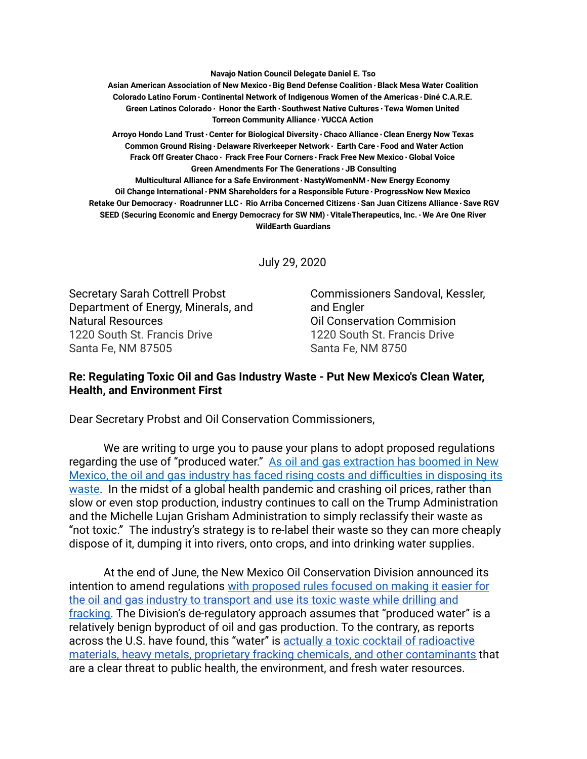**Navajo Nation Council Delegate Daniel E. Tso**

**Asian American Association of New Mexico∙Big Bend Defense Coalition∙Black Mesa Water Coalition Colorado Latino Forum∙Continental Network of Indigenous Women of the Americas∙Diné C.A.R.E. Green Latinos Colorado∙ Honor the Earth∙Southwest Native Cultures∙Tewa Women United Torreon Community Alliance∙YUCCA Action**

**Arroyo Hondo Land Trust∙Center for Biological Diversity∙Chaco Alliance∙Clean Energy Now Texas Common Ground Rising∙Delaware Riverkeeper Network∙ Earth Care∙Food and Water Action Frack Off Greater Chaco∙ Frack Free Four Corners∙Frack Free New Mexico∙Global Voice Green Amendments For The Generations∙JB Consulting Multicultural Alliance for a Safe Environment∙NastyWomenNM∙New Energy Economy Oil Change International∙PNM Shareholders for a Responsible Future∙ProgressNow New Mexico** Retake Our Democracy · Roadrunner LLC · Rio Arriba Concerned Citizens · San Juan Citizens Alliance · Save RGV **SEED (Securing Economic and Energy Democracy for SW NM)∙VitaleTherapeutics, Inc.∙We Are One River WildEarth Guardians**

July 29, 2020

Secretary Sarah Cottrell Probst Department of Energy, Minerals, and Natural Resources 1220 South St. Francis Drive Santa Fe, NM 87505

Commissioners Sandoval, Kessler, and Engler Oil Conservation Commision 1220 South St. Francis Drive Santa Fe, NM 8750

## **Re: Regulating Toxic Oil and Gas Industry Waste - Put New Mexico's Clean Water, Health, and Environment First**

Dear Secretary Probst and Oil Conservation Commissioners,

We are writing to urge you to pause your plans to adopt proposed regulations regarding the use of "produced water." [As oil and gas extraction has boomed in New](https://www.newsdeeply.com/water/articles/2018/09/17/in-new-mexico-move-to-reuse-fracking-water-stirs-cry-for-transparency)  [Mexico, the oil and gas industry has faced rising costs and difficulties in disposing its](https://www.newsdeeply.com/water/articles/2018/09/17/in-new-mexico-move-to-reuse-fracking-water-stirs-cry-for-transparency)  waste. In the midst of a global health pandemic and crashing oil prices, rather than slow or even stop production, industry continues to call on the Trump Administration and the Michelle Lujan Grisham Administration to simply reclassify their waste as "not toxic." The industry's strategy is to re-label their waste so they can more cheaply dispose of it, dumping it into rivers, onto crops, and into drinking water supplies.

At the end of June, the New Mexico Oil Conservation Division announced its intention to amend regulations [with proposed rules focused on making it easier for](http://www.emnrd.state.nm.us/OCD/documents/ApplicationforRulemakingProducedWater.pdf)  [the oil and gas industry to transport and use its toxic waste while drilling and](http://www.emnrd.state.nm.us/OCD/documents/ApplicationforRulemakingProducedWater.pdf)  fracking. The Division's de-regulatory approach assumes that "produced water" is a relatively benign byproduct of oil and gas production. To the contrary, as reports across the U.S. have found, this "water" is [actually a toxic cocktail of radioactive](https://www.rollingstone.com/politics/politics-features/oil-gas-fracking-radioactive-investigation-937389/)  [materials, heavy metals, proprietary fracking chemicals, and other contaminants](https://www.rollingstone.com/politics/politics-features/oil-gas-fracking-radioactive-investigation-937389/) that are a clear threat to public health, the environment, and fresh water resources.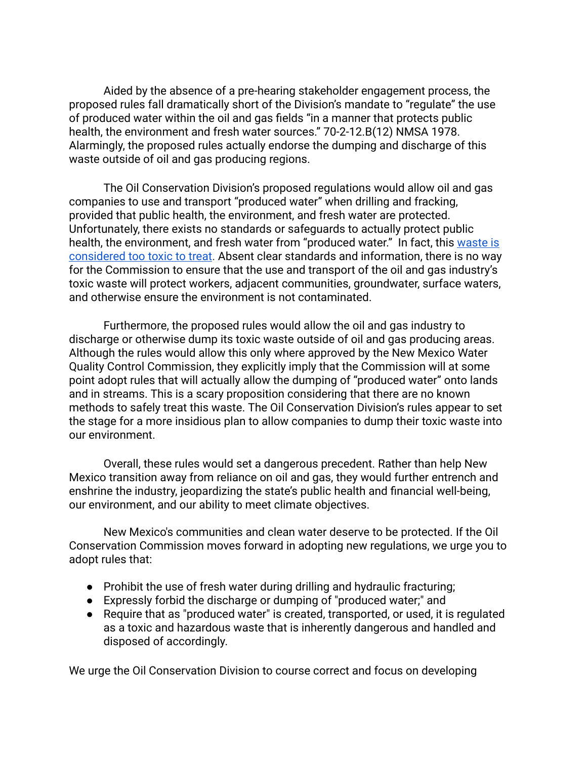Aided by the absence of a pre-hearing stakeholder engagement process, the proposed rules fall dramatically short of the Division's mandate to "regulate" the use of produced water within the oil and gas fields "in a manner that protects public health, the environment and fresh water sources." 70-2-12.B(12) NMSA 1978. Alarmingly, the proposed rules actually endorse the dumping and discharge of this waste outside of oil and gas producing regions.

The Oil Conservation Division's proposed regulations would allow oil and gas companies to use and transport "produced water" when drilling and fracking, provided that public health, the environment, and fresh water are protected. Unfortunately, there exists no standards or safeguards to actually protect public health, the environment, and fresh water from "produced water." In fact, this waste is [considered too toxic to treat](https://www.nrdc.org/experts/becky-hammer/frackings-aftermath-wastewater-disposal-methods-threaten-our-health-environment) . Absent clear standards and information, there is no way for the Commission to ensure that the use and transport of the oil and gas industry's toxic waste will protect workers, adjacent communities, groundwater, surface waters, and otherwise ensure the environment is not contaminated.

Furthermore, the proposed rules would allow the oil and gas industry to discharge or otherwise dump its toxic waste outside of oil and gas producing areas. Although the rules would allow this only where approved by the New Mexico Water Quality Control Commission, they explicitly imply that the Commission will at some point adopt rules that will actually allow the dumping of "produced water" onto lands and in streams. This is a scary proposition considering that there are no known methods to safely treat this waste. The Oil Conservation Division's rules appear to set the stage for a more insidious plan to allow companies to dump their toxic waste into our environment.

Overall, these rules would set a dangerous precedent. Rather than help New Mexico transition away from reliance on oil and gas, they would further entrench and enshrine the industry, jeopardizing the state's public health and financial well-being, our environment, and our ability to meet climate objectives.

New Mexico's communities and clean water deserve to be protected. If the Oil Conservation Commission moves forward in adopting new regulations, we urge you to adopt rules that:

- Prohibit the use of fresh water during drilling and hydraulic fracturing;
- Expressly forbid the discharge or dumping of "produced water;" and
- Require that as "produced water" is created, transported, or used, it is regulated as a toxic and hazardous waste that is inherently dangerous and handled and disposed of accordingly.

We urge the Oil Conservation Division to course correct and focus on developing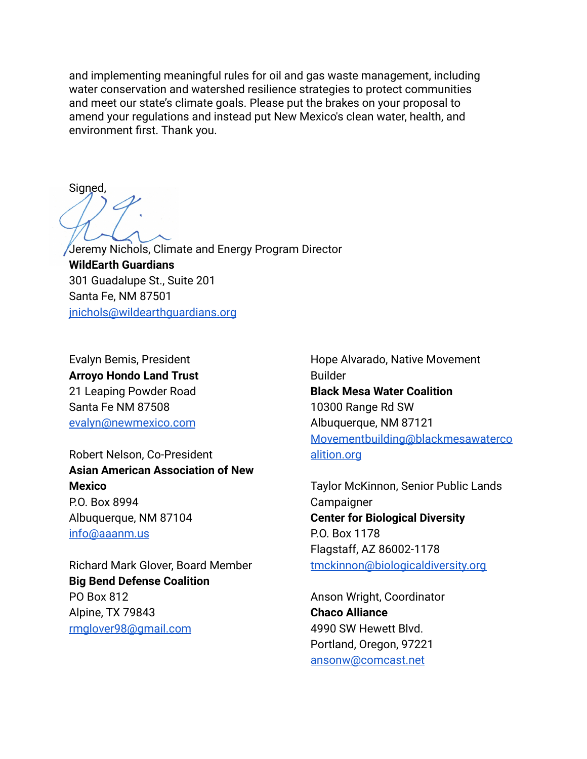and implementing meaningful rules for oil and gas waste management, including water conservation and watershed resilience strategies to protect communities and meet our state's climate goals. Please put the brakes on your proposal to amend your regulations and instead put New Mexico's clean water, health, and environment first. Thank you.

Signed,

Jeremy Nichols, Climate and Energy Program Director **WildEarth Guardians**  301 Guadalupe St., Suite 201 Santa Fe, NM 87501 [jnichols@wildearthguardians.org](mailto:jnichols@wildearthguardians.org) 

Evalyn Bemis, President **Arroyo Hondo Land Trust**  21 Leaping Powder Road Santa Fe NM 87508 [evalyn@newmexico.com](mailto:evalyn@newmexico.com)

Robert Nelson, Co-President **Asian American Association of New Mexico**  P.O. Box 8994 Albuquerque, NM 87104 [info@aaanm.us](mailto:info@aaanm.us) 

Richard Mark Glover, Board Member **Big Bend Defense Coalition**  PO Box 812 Alpine, TX 79843 [rmglover98@gmail.com](mailto:rmglover98@gmail.com) 

Hope Alvarado, Native Movement Builder **Black Mesa Water Coalition**  10300 Range Rd SW Albuquerque, NM 87121 [Movementbuilding@blackmesawaterco](mailto:Movementbuilding@blackmesawatercoalition.org)  [alition.org](mailto:Movementbuilding@blackmesawatercoalition.org)

Taylor McKinnon, Senior Public Lands **Campaigner Center for Biological Diversity**  P.O. Box 1178 Flagstaff, AZ 86002-1178 [tmckinnon@biologicaldiversity.org](mailto:tmckinnon@biologicaldiversity.org) 

Anson Wright, Coordinator **Chaco Alliance**  4990 SW Hewett Blvd. Portland, Oregon, 97221 [ansonw@comcast.net](mailto:ansonw@comcast.net)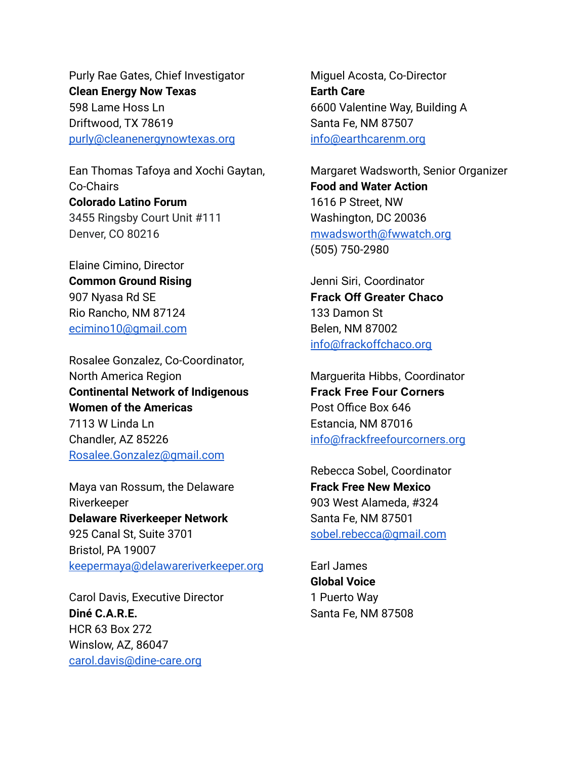Purly Rae Gates, Chief Investigator **Clean Energy Now Texas**  598 Lame Hoss Ln Driftwood, TX 78619 [purly@cleanenergynowtexas.org](mailto:purly@cleanenergynowtexas.org)

Ean Thomas Tafoya and Xochi Gaytan, Co-Chairs **Colorado Latino Forum**  3455 Ringsby Court Unit #111 Denver, CO 80216

Elaine Cimino, Director **Common Ground Rising**  907 Nyasa Rd SE Rio Rancho, NM 87124 [ecimino10@gmail.com](mailto:ecimino10@gmail.com) 

Rosalee Gonzalez, Co-Coordinator, North America Region **Continental Network of Indigenous Women of the Americas**  7113 W Linda Ln Chandler, AZ 85226 [Rosalee.Gonzalez@gmail.com](mailto:Rosalee.Gonzalez@gmail.com)

Maya van Rossum, the Delaware Riverkeeper **Delaware Riverkeeper Network**  925 Canal St, Suite 3701 Bristol, PA 19007 [keepermaya@delawareriverkeeper.org](mailto:keepermaya@delawareriverkeeper.org)

Carol Davis, Executive Director **Diné C.A.R.E.**  HCR 63 Box 272 Winslow, AZ, 86047 [carol.davis@dine-care.org](mailto:carol.davis@dine-care.org)

Miguel Acosta, Co-Director **Earth Care**  6600 Valentine Way, Building A Santa Fe, NM 87507 [info@earthcarenm.org](mailto:info@earthcarenm.org)

Margaret Wadsworth, Senior Organizer **Food and Water Action**  1616 P Street, NW Washington, DC 20036 [mwadsworth@fwwatch.org](mailto:mwadsworth@fwwatch.org)  (505) 750-2980

Jenni Siri, Coordinator **Frack Off Greater Chaco**  133 Damon St Belen, NM 87002 [info@frackoffchaco.org](mailto:info@frackoffchaco.org) 

Marguerita Hibbs, Coordinator **Frack Free Four Corners**  Post Office Box 646 Estancia, NM 87016 [info@frackfreefourcorners.org](mailto:info@frackfreefourcorners.org) 

Rebecca Sobel, Coordinator **Frack Free New Mexico**  903 West Alameda, #324 Santa Fe, NM 87501 [sobel.rebecca@gmail.com](mailto:sobel.rebecca@gmail.com) 

Earl James **Global Voice**  1 Puerto Way Santa Fe, NM 87508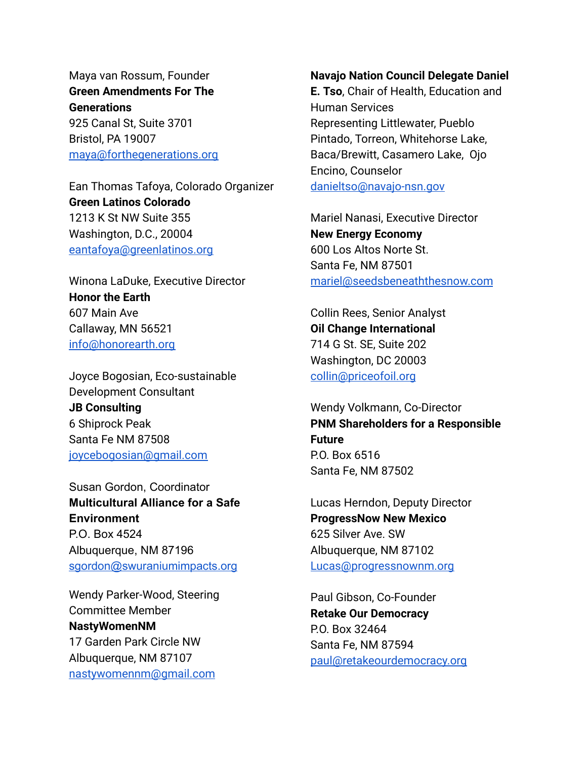Maya van Rossum, Founder **Green Amendments For The Generations**  925 Canal St, Suite 3701 Bristol, PA 19007 [maya@forthegenerations.org](mailto:maya@forthegenerations.org) 

Ean Thomas Tafoya, Colorado Organizer **Green Latinos Colorado**  1213 K St NW Suite 355 Washington, D.C., 20004 [eantafoya@greenlatinos.org](mailto:eantafoya@greenlatinos.org) 

Winona LaDuke, Executive Director **Honor the Earth**  607 Main Ave Callaway, MN 56521 [info@honorearth.org](mailto:info@honorearth.org) 

Joyce Bogosian, Eco-sustainable Development Consultant **JB Consulting**  6 Shiprock Peak Santa Fe NM 87508 [joycebogosian@gmail.com](mailto:joycebogosian@gmail.com) 

Susan Gordon, Coordinator **Multicultural Alliance for a Safe Environment**  P.O. Box 4524 Albuquerque, NM 87196 [sgordon@swuraniumimpacts.org](mailto:sgordon@swuraniumimpacts.org) 

Wendy Parker-Wood, Steering Committee Member **NastyWomenNM**  17 Garden Park Circle NW Albuquerque, NM 87107 [nastywomennm@gmail.com](mailto:nastywomennm@gmail.com)

## **Navajo Nation Council Delegate Daniel**

**E. Tso, Chair of Health, Education and** Human Services Representing Littlewater, Pueblo Pintado, Torreon, Whitehorse Lake, Baca/Brewitt, Casamero Lake, Ojo Encino, Counselor [danieltso@navajo-nsn.gov](mailto:danieltso@navajo-nsn.gov)

Mariel Nanasi, Executive Director **New Energy Economy**  600 Los Altos Norte St. Santa Fe, NM 87501 [mariel@seedsbeneaththesnow.com](mailto:mariel@seedsbeneaththesnow.com)

Collin Rees, Senior Analyst **Oil Change International**  714 G St. SE, Suite 202 Washington, DC 20003 [collin@priceofoil.org](mailto:collin@priceofoil.org) 

Wendy Volkmann, Co-Director **PNM Shareholders for a Responsible Future**  P.O. Box 6516 Santa Fe, NM 87502

Lucas Herndon, Deputy Director **ProgressNow New Mexico**  625 Silver Ave. SW Albuquerque, NM 87102 [Lucas@progressnownm.org](mailto:Lucas@progressnownm.org) 

Paul Gibson, Co-Founder **Retake Our Democracy**  P.O. Box 32464 Santa Fe, NM 87594 [paul@retakeourdemocracy.org](mailto:paul@retakeourdemocracy.org)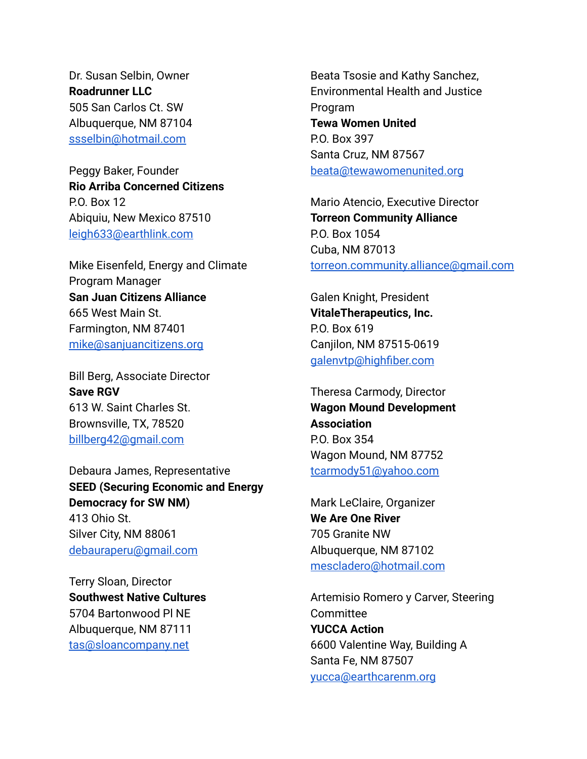Dr. Susan Selbin, Owner **Roadrunner LLC**  505 San Carlos Ct. SW Albuquerque, NM 87104 [ssselbin@hotmail.com](mailto:ssselbin@hotmail.com) 

Peggy Baker, Founder **Rio Arriba Concerned Citizens**  P.O. Box 12 Abiquiu, New Mexico 87510 [leigh633@earthlink.com](mailto:leigh633@earthlink.com) 

Mike Eisenfeld, Energy and Climate Program Manager **San Juan Citizens Alliance**  665 West Main St. Farmington, NM 87401 [mike@sanjuancitizens.org](mailto:mike@sanjuancitizens.org)

Bill Berg, Associate Director **Save RGV**  613 W. Saint Charles St. Brownsville, TX, 78520 [billberg42@gmail.com](mailto:billberg42@gmail.com) 

Debaura James, Representative **SEED (Securing Economic and Energy Democracy for SW NM)**  413 Ohio St. Silver City, NM 88061 [debauraperu@gmail.com](mailto:debauraperu@gmail.com)

Terry Sloan, Director **Southwest Native Cultures**  5704 Bartonwood Pl NE Albuquerque, NM 87111 [tas@sloancompany.net](mailto:tas@sloancompany.net)

Beata Tsosie and Kathy Sanchez, Environmental Health and Justice Program **Tewa Women United**  P.O. Box 397 Santa Cruz, NM 87567 [beata@tewawomenunited.org](mailto:beata@tewawomenunited.org) 

Mario Atencio, Executive Director **Torreon Community Alliance**  P.O. Box 1054 Cuba, NM 87013 [torreon.community.alliance@gmail.com](mailto:torreon.community.alliance@gmail.com)

Galen Knight, President **VitaleTherapeutics, Inc.**  P.O. Box 619 Canjilon, NM 87515-0619 [galenvtp@highfiber.com](mailto:galenvtp@highfiber.com)

Theresa Carmody, Director **Wagon Mound Development Association**  P.O. Box 354 Wagon Mound, NM 87752 [tcarmody51@yahoo.com](mailto:tcarmody51@yahoo.com)

Mark LeClaire, Organizer **We Are One River**  705 Granite NW Albuquerque, NM 87102 [mescladero@hotmail.com](mailto:mescladero@hotmail.com)

Artemisio Romero y Carver, Steering **Committee YUCCA Action**  6600 Valentine Way, Building A Santa Fe, NM 87507 [yucca@earthcarenm.org](mailto:yucca@earthcarenm.org)